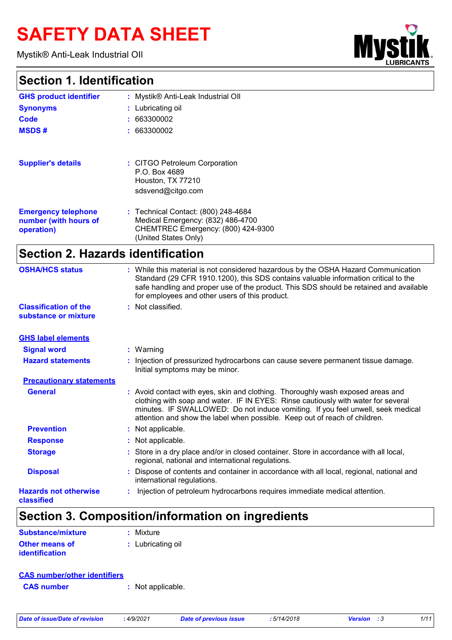# **SAFETY DATA SHEET**

Mystik® Anti-Leak Industrial OIl

### **Section 1. Identification**

| <b>LUBRICANTS</b> | œ |
|-------------------|---|

| : Mystik® Anti-Leak Industrial Oll                                                                                                                                                                                                                                                                                    |
|-----------------------------------------------------------------------------------------------------------------------------------------------------------------------------------------------------------------------------------------------------------------------------------------------------------------------|
|                                                                                                                                                                                                                                                                                                                       |
| : Lubricating oil                                                                                                                                                                                                                                                                                                     |
| 663300002                                                                                                                                                                                                                                                                                                             |
| : 663300002                                                                                                                                                                                                                                                                                                           |
| : CITGO Petroleum Corporation<br>P.O. Box 4689                                                                                                                                                                                                                                                                        |
| Houston, TX 77210<br>sdsvend@citgo.com                                                                                                                                                                                                                                                                                |
| : Technical Contact: (800) 248-4684<br>Medical Emergency: (832) 486-4700<br>CHEMTREC Emergency: (800) 424-9300<br>(United States Only)                                                                                                                                                                                |
| <b>Section 2. Hazards identification</b>                                                                                                                                                                                                                                                                              |
| : While this material is not considered hazardous by the OSHA Hazard Communication<br>Standard (29 CFR 1910.1200), this SDS contains valuable information critical to the<br>safe handling and proper use of the product. This SDS should be retained and available<br>for employees and other users of this product. |
| Not classified.                                                                                                                                                                                                                                                                                                       |
|                                                                                                                                                                                                                                                                                                                       |

| <b>GHS label elements</b>                  |                                                                                                                                                                                                                                                                                                                                       |
|--------------------------------------------|---------------------------------------------------------------------------------------------------------------------------------------------------------------------------------------------------------------------------------------------------------------------------------------------------------------------------------------|
| <b>Signal word</b>                         | $:$ Warning                                                                                                                                                                                                                                                                                                                           |
| <b>Hazard statements</b>                   | : Injection of pressurized hydrocarbons can cause severe permanent tissue damage.<br>Initial symptoms may be minor.                                                                                                                                                                                                                   |
| <b>Precautionary statements</b>            |                                                                                                                                                                                                                                                                                                                                       |
| <b>General</b>                             | : Avoid contact with eyes, skin and clothing. Thoroughly wash exposed areas and<br>clothing with soap and water. IF IN EYES: Rinse cautiously with water for several<br>minutes. IF SWALLOWED: Do not induce vomiting. If you feel unwell, seek medical<br>attention and show the label when possible. Keep out of reach of children. |
| <b>Prevention</b>                          | : Not applicable.                                                                                                                                                                                                                                                                                                                     |
| <b>Response</b>                            | : Not applicable.                                                                                                                                                                                                                                                                                                                     |
| <b>Storage</b>                             | : Store in a dry place and/or in closed container. Store in accordance with all local,<br>regional, national and international regulations.                                                                                                                                                                                           |
| <b>Disposal</b>                            | : Dispose of contents and container in accordance with all local, regional, national and<br>international regulations.                                                                                                                                                                                                                |
| <b>Hazards not otherwise</b><br>classified | Injection of petroleum hydrocarbons requires immediate medical attention.                                                                                                                                                                                                                                                             |

# **Section 3. Composition/information on ingredients**

| Substance/mixture     | : Mixture         |
|-----------------------|-------------------|
| Other means of        | : Lubricating oil |
| <b>identification</b> |                   |

#### **CAS number/other identifiers**

**CAS number :** Not applicable.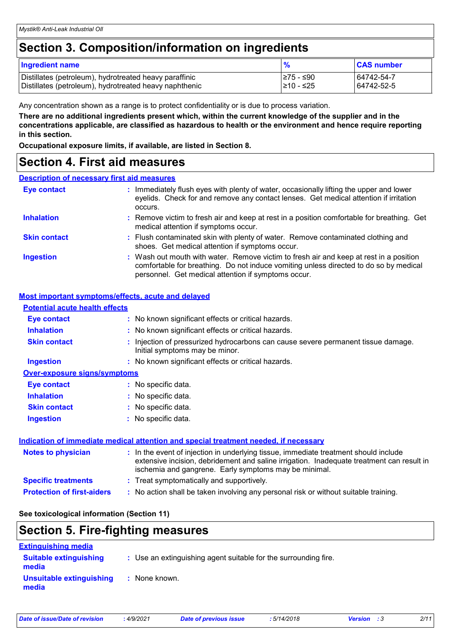### **Section 3. Composition/information on ingredients**

| <b>Ingredient name</b>                                 | %          | <b>CAS number</b> |
|--------------------------------------------------------|------------|-------------------|
| Distillates (petroleum), hydrotreated heavy paraffinic | I≥75 - ≤90 | 64742-54-7        |
| Distillates (petroleum), hydrotreated heavy naphthenic | l≥10 - ≤25 | 64742-52-5        |

Any concentration shown as a range is to protect confidentiality or is due to process variation.

**There are no additional ingredients present which, within the current knowledge of the supplier and in the concentrations applicable, are classified as hazardous to health or the environment and hence require reporting in this section.**

**Occupational exposure limits, if available, are listed in Section 8.**

### **Section 4. First aid measures**

#### **Description of necessary first aid measures**

| <b>Eye contact</b>  | : Immediately flush eyes with plenty of water, occasionally lifting the upper and lower<br>eyelids. Check for and remove any contact lenses. Get medical attention if irritation<br>occurs.                                            |  |
|---------------------|----------------------------------------------------------------------------------------------------------------------------------------------------------------------------------------------------------------------------------------|--|
| <b>Inhalation</b>   | : Remove victim to fresh air and keep at rest in a position comfortable for breathing. Get<br>medical attention if symptoms occur.                                                                                                     |  |
| <b>Skin contact</b> | : Flush contaminated skin with plenty of water. Remove contaminated clothing and<br>shoes. Get medical attention if symptoms occur.                                                                                                    |  |
| <b>Ingestion</b>    | : Wash out mouth with water. Remove victim to fresh air and keep at rest in a position<br>comfortable for breathing. Do not induce vomiting unless directed to do so by medical<br>personnel. Get medical attention if symptoms occur. |  |

#### **Most important symptoms/effects, acute and delayed**

| <b>Potential acute health effects</b> |                                                                                                                                                                                                                                            |
|---------------------------------------|--------------------------------------------------------------------------------------------------------------------------------------------------------------------------------------------------------------------------------------------|
| <b>Eye contact</b>                    | : No known significant effects or critical hazards.                                                                                                                                                                                        |
| <b>Inhalation</b>                     | : No known significant effects or critical hazards.                                                                                                                                                                                        |
| <b>Skin contact</b>                   | : Injection of pressurized hydrocarbons can cause severe permanent tissue damage.<br>Initial symptoms may be minor.                                                                                                                        |
| <b>Ingestion</b>                      | : No known significant effects or critical hazards.                                                                                                                                                                                        |
| <b>Over-exposure signs/symptoms</b>   |                                                                                                                                                                                                                                            |
| <b>Eye contact</b>                    | : No specific data.                                                                                                                                                                                                                        |
| <b>Inhalation</b>                     | : No specific data.                                                                                                                                                                                                                        |
| <b>Skin contact</b>                   | : No specific data.                                                                                                                                                                                                                        |
| <b>Ingestion</b>                      | : No specific data.                                                                                                                                                                                                                        |
|                                       | Indication of immediate medical attention and special treatment needed, if necessary                                                                                                                                                       |
| <b>Notes to physician</b>             | : In the event of injection in underlying tissue, immediate treatment should include<br>extensive incision, debridement and saline irrigation. Inadequate treatment can result in<br>ischemia and gangrene. Early symptoms may be minimal. |

- **Specific treatments :** Treat symptomatically and supportively.
- **Protection of first-aiders :** No action shall be taken involving any personal risk or without suitable training.

#### **See toxicological information (Section 11)**

| <b>Section 5. Fire-fighting measures</b>                             |                                                                 |  |  |
|----------------------------------------------------------------------|-----------------------------------------------------------------|--|--|
| <b>Extinguishing media</b><br><b>Suitable extinguishing</b><br>media | : Use an extinguishing agent suitable for the surrounding fire. |  |  |

**:** None known. **Unsuitable extinguishing media**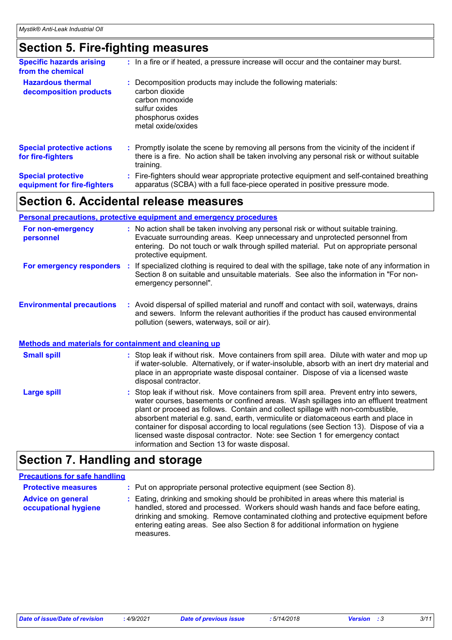## **Section 5. Fire-fighting measures**

| <b>Specific hazards arising</b><br>from the chemical     | : In a fire or if heated, a pressure increase will occur and the container may burst.                                                                                                               |
|----------------------------------------------------------|-----------------------------------------------------------------------------------------------------------------------------------------------------------------------------------------------------|
| <b>Hazardous thermal</b><br>decomposition products       | : Decomposition products may include the following materials:<br>carbon dioxide<br>carbon monoxide<br>sulfur oxides<br>phosphorus oxides<br>metal oxide/oxides                                      |
| <b>Special protective actions</b><br>for fire-fighters   | : Promptly isolate the scene by removing all persons from the vicinity of the incident if<br>there is a fire. No action shall be taken involving any personal risk or without suitable<br>training. |
| <b>Special protective</b><br>equipment for fire-fighters | Fire-fighters should wear appropriate protective equipment and self-contained breathing<br>apparatus (SCBA) with a full face-piece operated in positive pressure mode.                              |

## **Section 6. Accidental release measures**

#### **Personal precautions, protective equipment and emergency procedures**

| For non-emergency<br>personnel   | : No action shall be taken involving any personal risk or without suitable training.<br>Evacuate surrounding areas. Keep unnecessary and unprotected personnel from<br>entering. Do not touch or walk through spilled material. Put on appropriate personal<br>protective equipment. |
|----------------------------------|--------------------------------------------------------------------------------------------------------------------------------------------------------------------------------------------------------------------------------------------------------------------------------------|
| For emergency responders         | If specialized clothing is required to deal with the spillage, take note of any information in<br>Section 8 on suitable and unsuitable materials. See also the information in "For non-<br>emergency personnel".                                                                     |
| <b>Environmental precautions</b> | Avoid dispersal of spilled material and runoff and contact with soil, waterways, drains<br>and sewers. Inform the relevant authorities if the product has caused environmental<br>pollution (sewers, waterways, soil or air).                                                        |

#### : Stop leak if without risk. Move containers from spill area. Prevent entry into sewers, water courses, basements or confined areas. Wash spillages into an effluent treatment plant or proceed as follows. Contain and collect spillage with non-combustible, absorbent material e.g. sand, earth, vermiculite or diatomaceous earth and place in container for disposal according to local regulations (see Section 13). Dispose of via a licensed waste disposal contractor. Note: see Section 1 for emergency contact **Large spill :** Stop leak if without risk. Move containers from spill area. Dilute with water and mop up if water-soluble. Alternatively, or if water-insoluble, absorb with an inert dry material and place in an appropriate waste disposal container. Dispose of via a licensed waste disposal contractor. **Small spill : Methods and materials for containment and cleaning up**

information and Section 13 for waste disposal.

## **Section 7. Handling and storage**

#### **Precautions for safe handling**

| <b>Protective measures</b>                       | : Put on appropriate personal protective equipment (see Section 8).                                                                                                                                                                                                                                                                                           |
|--------------------------------------------------|---------------------------------------------------------------------------------------------------------------------------------------------------------------------------------------------------------------------------------------------------------------------------------------------------------------------------------------------------------------|
| <b>Advice on general</b><br>occupational hygiene | : Eating, drinking and smoking should be prohibited in areas where this material is<br>handled, stored and processed. Workers should wash hands and face before eating,<br>drinking and smoking. Remove contaminated clothing and protective equipment before<br>entering eating areas. See also Section 8 for additional information on hygiene<br>measures. |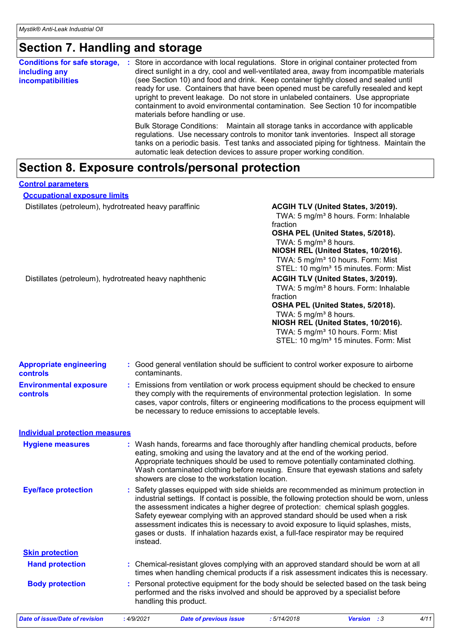# **Section 7. Handling and storage**

| <b>Conditions for safe storage,</b><br>including any<br><i>incompatibilities</i> | Store in accordance with local regulations. Store in original container protected from<br>÷<br>direct sunlight in a dry, cool and well-ventilated area, away from incompatible materials<br>(see Section 10) and food and drink. Keep container tightly closed and sealed until<br>ready for use. Containers that have been opened must be carefully resealed and kept<br>upright to prevent leakage. Do not store in unlabeled containers. Use appropriate<br>containment to avoid environmental contamination. See Section 10 for incompatible<br>materials before handling or use. |
|----------------------------------------------------------------------------------|---------------------------------------------------------------------------------------------------------------------------------------------------------------------------------------------------------------------------------------------------------------------------------------------------------------------------------------------------------------------------------------------------------------------------------------------------------------------------------------------------------------------------------------------------------------------------------------|
|                                                                                  | Bulk Storage Conditions: Maintain all storage tanks in accordance with applicable<br>regulations. Use necessary controls to monitor tank inventories. Inspect all storage<br>tanks on a periodic basis. Test tanks and associated piping for tightness. Maintain the<br>automatic leak detection devices to assure proper working condition.                                                                                                                                                                                                                                          |

# **Section 8. Exposure controls/personal protection**

| <b>Control parameters</b>                              |                                                                                                                                                                                                                                                                                                                                                                                                                                                                                                                                                     |                                                                                                                                                                                                                                                                                                                                                 |  |
|--------------------------------------------------------|-----------------------------------------------------------------------------------------------------------------------------------------------------------------------------------------------------------------------------------------------------------------------------------------------------------------------------------------------------------------------------------------------------------------------------------------------------------------------------------------------------------------------------------------------------|-------------------------------------------------------------------------------------------------------------------------------------------------------------------------------------------------------------------------------------------------------------------------------------------------------------------------------------------------|--|
| <b>Occupational exposure limits</b>                    |                                                                                                                                                                                                                                                                                                                                                                                                                                                                                                                                                     |                                                                                                                                                                                                                                                                                                                                                 |  |
| Distillates (petroleum), hydrotreated heavy paraffinic |                                                                                                                                                                                                                                                                                                                                                                                                                                                                                                                                                     | ACGIH TLV (United States, 3/2019).<br>TWA: 5 mg/m <sup>3</sup> 8 hours. Form: Inhalable<br>fraction<br>OSHA PEL (United States, 5/2018).<br>TWA: 5 mg/m <sup>3</sup> 8 hours.<br>NIOSH REL (United States, 10/2016).<br>TWA: 5 mg/m <sup>3</sup> 10 hours. Form: Mist<br>STEL: 10 mg/m <sup>3</sup> 15 minutes. Form: Mist                      |  |
| Distillates (petroleum), hydrotreated heavy naphthenic |                                                                                                                                                                                                                                                                                                                                                                                                                                                                                                                                                     | ACGIH TLV (United States, 3/2019).<br>TWA: 5 mg/m <sup>3</sup> 8 hours. Form: Inhalable<br>fraction<br>OSHA PEL (United States, 5/2018).<br>TWA: 5 mg/m <sup>3</sup> 8 hours.<br>NIOSH REL (United States, 10/2016).<br>TWA: 5 mg/m <sup>3</sup> 10 hours. Form: Mist<br>STEL: 10 mg/m <sup>3</sup> 15 minutes. Form: Mist                      |  |
| <b>Appropriate engineering</b><br>controls             | : Good general ventilation should be sufficient to control worker exposure to airborne<br>contaminants.                                                                                                                                                                                                                                                                                                                                                                                                                                             |                                                                                                                                                                                                                                                                                                                                                 |  |
| <b>Environmental exposure</b><br>controls              | : Emissions from ventilation or work process equipment should be checked to ensure<br>they comply with the requirements of environmental protection legislation. In some<br>cases, vapor controls, filters or engineering modifications to the process equipment will<br>be necessary to reduce emissions to acceptable levels.                                                                                                                                                                                                                     |                                                                                                                                                                                                                                                                                                                                                 |  |
| <b>Individual protection measures</b>                  |                                                                                                                                                                                                                                                                                                                                                                                                                                                                                                                                                     |                                                                                                                                                                                                                                                                                                                                                 |  |
| <b>Hygiene measures</b>                                | showers are close to the workstation location.                                                                                                                                                                                                                                                                                                                                                                                                                                                                                                      | : Wash hands, forearms and face thoroughly after handling chemical products, before<br>eating, smoking and using the lavatory and at the end of the working period.<br>Appropriate techniques should be used to remove potentially contaminated clothing.<br>Wash contaminated clothing before reusing. Ensure that eyewash stations and safety |  |
| <b>Eye/face protection</b>                             | : Safety glasses equipped with side shields are recommended as minimum protection in<br>industrial settings. If contact is possible, the following protection should be worn, unless<br>the assessment indicates a higher degree of protection: chemical splash goggles.<br>Safety eyewear complying with an approved standard should be used when a risk<br>assessment indicates this is necessary to avoid exposure to liquid splashes, mists,<br>gases or dusts. If inhalation hazards exist, a full-face respirator may be required<br>instead. |                                                                                                                                                                                                                                                                                                                                                 |  |
| <b>Skin protection</b>                                 |                                                                                                                                                                                                                                                                                                                                                                                                                                                                                                                                                     |                                                                                                                                                                                                                                                                                                                                                 |  |
| <b>Hand protection</b>                                 |                                                                                                                                                                                                                                                                                                                                                                                                                                                                                                                                                     | : Chemical-resistant gloves complying with an approved standard should be worn at all<br>times when handling chemical products if a risk assessment indicates this is necessary.                                                                                                                                                                |  |
| <b>Body protection</b>                                 | handling this product.                                                                                                                                                                                                                                                                                                                                                                                                                                                                                                                              | : Personal protective equipment for the body should be selected based on the task being<br>performed and the risks involved and should be approved by a specialist before                                                                                                                                                                       |  |

*Date of issue/Date of revision* **:** *4/9/2021 Date of previous issue : 5/14/2018 Version : 3 4/11*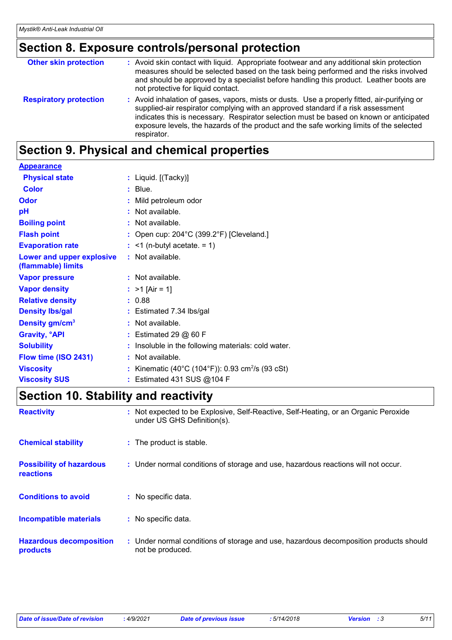# **Section 8. Exposure controls/personal protection**

| <b>Other skin protection</b>  | : Avoid skin contact with liquid. Appropriate footwear and any additional skin protection<br>measures should be selected based on the task being performed and the risks involved<br>and should be approved by a specialist before handling this product. Leather boots are<br>not protective for liquid contact.                                                                     |
|-------------------------------|---------------------------------------------------------------------------------------------------------------------------------------------------------------------------------------------------------------------------------------------------------------------------------------------------------------------------------------------------------------------------------------|
| <b>Respiratory protection</b> | : Avoid inhalation of gases, vapors, mists or dusts. Use a properly fitted, air-purifying or<br>supplied-air respirator complying with an approved standard if a risk assessment<br>indicates this is necessary. Respirator selection must be based on known or anticipated<br>exposure levels, the hazards of the product and the safe working limits of the selected<br>respirator. |

# **Section 9. Physical and chemical properties**

| <b>Appearance</b>                               |     |                                                            |
|-------------------------------------------------|-----|------------------------------------------------------------|
| <b>Physical state</b>                           |     | : Liquid. $[(Take)$ ]                                      |
| <b>Color</b>                                    |     | $:$ Blue.                                                  |
| Odor                                            |     | Mild petroleum odor                                        |
| pH                                              |     | $:$ Not available.                                         |
| <b>Boiling point</b>                            |     | $:$ Not available.                                         |
| <b>Flash point</b>                              |     | : Open cup: $204^{\circ}$ C (399.2°F) [Cleveland.]         |
| <b>Evaporation rate</b>                         |     | $:$ <1 (n-butyl acetate. = 1)                              |
| Lower and upper explosive<br>(flammable) limits |     | $:$ Not available.                                         |
| <b>Vapor pressure</b>                           |     | $:$ Not available.                                         |
| <b>Vapor density</b>                            |     | : $>1$ [Air = 1]                                           |
| <b>Relative density</b>                         |     | : 0.88                                                     |
| <b>Density Ibs/gal</b>                          |     | : Estimated 7.34 lbs/gal                                   |
| Density gm/cm <sup>3</sup>                      |     | : Not available.                                           |
| <b>Gravity, <sup>o</sup>API</b>                 |     | $:$ Estimated 29 $@$ 60 F                                  |
| <b>Solubility</b>                               |     | Insoluble in the following materials: cold water.          |
| Flow time (ISO 2431)                            | -11 | Not available.                                             |
| <b>Viscosity</b>                                |     | Kinematic (40°C (104°F)): 0.93 cm <sup>2</sup> /s (93 cSt) |
| <b>Viscosity SUS</b>                            |     | Estimated 431 SUS @104 F                                   |

# **Section 10. Stability and reactivity**

| <b>Reactivity</b>                                   | Not expected to be Explosive, Self-Reactive, Self-Heating, or an Organic Peroxide<br>÷.<br>under US GHS Definition(s). |
|-----------------------------------------------------|------------------------------------------------------------------------------------------------------------------------|
| <b>Chemical stability</b>                           | : The product is stable.                                                                                               |
| <b>Possibility of hazardous</b><br><b>reactions</b> | : Under normal conditions of storage and use, hazardous reactions will not occur.                                      |
| <b>Conditions to avoid</b>                          | : No specific data.                                                                                                    |
| <b>Incompatible materials</b>                       | No specific data.<br>÷.                                                                                                |
| <b>Hazardous decomposition</b><br>products          | : Under normal conditions of storage and use, hazardous decomposition products should<br>not be produced.              |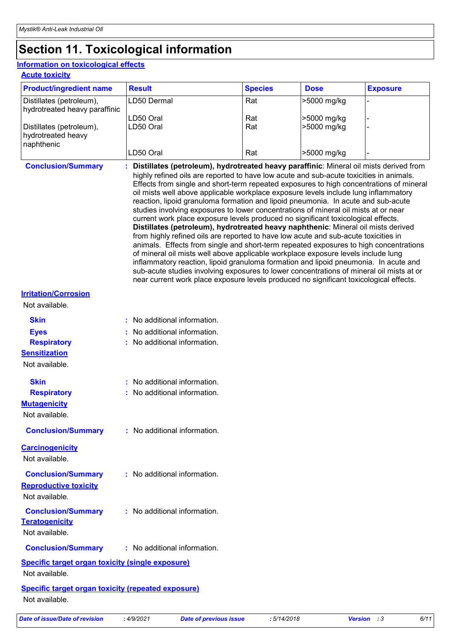# **Section 11. Toxicological information**

#### **Acute toxicity Information on toxicological effects**

| <b>Product/ingredient name</b>                                                                | <b>Result</b>                                                                                                                                                                                                                                                                                                                                                                                                                                                                                                                                                                                                                                                                                                                                                                                                                                                                                                                                                                                                                                                                                                                                                                                                                                                                | <b>Species</b>    | <b>Dose</b>                               | <b>Exposure</b> |  |  |
|-----------------------------------------------------------------------------------------------|------------------------------------------------------------------------------------------------------------------------------------------------------------------------------------------------------------------------------------------------------------------------------------------------------------------------------------------------------------------------------------------------------------------------------------------------------------------------------------------------------------------------------------------------------------------------------------------------------------------------------------------------------------------------------------------------------------------------------------------------------------------------------------------------------------------------------------------------------------------------------------------------------------------------------------------------------------------------------------------------------------------------------------------------------------------------------------------------------------------------------------------------------------------------------------------------------------------------------------------------------------------------------|-------------------|-------------------------------------------|-----------------|--|--|
| Distillates (petroleum),                                                                      | LD50 Dermal                                                                                                                                                                                                                                                                                                                                                                                                                                                                                                                                                                                                                                                                                                                                                                                                                                                                                                                                                                                                                                                                                                                                                                                                                                                                  | Rat               | >5000 mg/kg                               |                 |  |  |
| hydrotreated heavy paraffinic<br>Distillates (petroleum),<br>hydrotreated heavy<br>naphthenic | LD50 Oral<br>LD50 Oral<br>LD50 Oral                                                                                                                                                                                                                                                                                                                                                                                                                                                                                                                                                                                                                                                                                                                                                                                                                                                                                                                                                                                                                                                                                                                                                                                                                                          | Rat<br>Rat<br>Rat | >5000 mg/kg<br>>5000 mg/kg<br>>5000 mg/kg |                 |  |  |
| <b>Conclusion/Summary</b>                                                                     |                                                                                                                                                                                                                                                                                                                                                                                                                                                                                                                                                                                                                                                                                                                                                                                                                                                                                                                                                                                                                                                                                                                                                                                                                                                                              |                   |                                           |                 |  |  |
|                                                                                               | Distillates (petroleum), hydrotreated heavy paraffinic: Mineral oil mists derived from<br>highly refined oils are reported to have low acute and sub-acute toxicities in animals.<br>Effects from single and short-term repeated exposures to high concentrations of mineral<br>oil mists well above applicable workplace exposure levels include lung inflammatory<br>reaction, lipoid granuloma formation and lipoid pneumonia. In acute and sub-acute<br>studies involving exposures to lower concentrations of mineral oil mists at or near<br>current work place exposure levels produced no significant toxicological effects.<br>Distillates (petroleum), hydrotreated heavy naphthenic: Mineral oil mists derived<br>from highly refined oils are reported to have low acute and sub-acute toxicities in<br>animals. Effects from single and short-term repeated exposures to high concentrations<br>of mineral oil mists well above applicable workplace exposure levels include lung<br>inflammatory reaction, lipoid granuloma formation and lipoid pneumonia. In acute and<br>sub-acute studies involving exposures to lower concentrations of mineral oil mists at or<br>near current work place exposure levels produced no significant toxicological effects. |                   |                                           |                 |  |  |
| <b>Irritation/Corrosion</b>                                                                   |                                                                                                                                                                                                                                                                                                                                                                                                                                                                                                                                                                                                                                                                                                                                                                                                                                                                                                                                                                                                                                                                                                                                                                                                                                                                              |                   |                                           |                 |  |  |
| Not available.                                                                                |                                                                                                                                                                                                                                                                                                                                                                                                                                                                                                                                                                                                                                                                                                                                                                                                                                                                                                                                                                                                                                                                                                                                                                                                                                                                              |                   |                                           |                 |  |  |
| <b>Skin</b><br><b>Eyes</b><br><b>Respiratory</b><br><b>Sensitization</b><br>Not available.    | : No additional information.<br>: No additional information.<br>: No additional information.                                                                                                                                                                                                                                                                                                                                                                                                                                                                                                                                                                                                                                                                                                                                                                                                                                                                                                                                                                                                                                                                                                                                                                                 |                   |                                           |                 |  |  |
| <b>Skin</b><br><b>Respiratory</b><br><b>Mutagenicity</b><br>Not available.                    | : No additional information.<br>: No additional information.                                                                                                                                                                                                                                                                                                                                                                                                                                                                                                                                                                                                                                                                                                                                                                                                                                                                                                                                                                                                                                                                                                                                                                                                                 |                   |                                           |                 |  |  |
| <b>Conclusion/Summary</b><br><b>Carcinogenicity</b><br>Not available.                         | : No additional information.                                                                                                                                                                                                                                                                                                                                                                                                                                                                                                                                                                                                                                                                                                                                                                                                                                                                                                                                                                                                                                                                                                                                                                                                                                                 |                   |                                           |                 |  |  |
| <b>Conclusion/Summary</b><br><b>Reproductive toxicity</b><br>Not available.                   | : No additional information.                                                                                                                                                                                                                                                                                                                                                                                                                                                                                                                                                                                                                                                                                                                                                                                                                                                                                                                                                                                                                                                                                                                                                                                                                                                 |                   |                                           |                 |  |  |
| <b>Conclusion/Summary</b><br><b>Teratogenicity</b><br>Not available.                          | : No additional information.                                                                                                                                                                                                                                                                                                                                                                                                                                                                                                                                                                                                                                                                                                                                                                                                                                                                                                                                                                                                                                                                                                                                                                                                                                                 |                   |                                           |                 |  |  |
| <b>Conclusion/Summary</b>                                                                     | : No additional information.                                                                                                                                                                                                                                                                                                                                                                                                                                                                                                                                                                                                                                                                                                                                                                                                                                                                                                                                                                                                                                                                                                                                                                                                                                                 |                   |                                           |                 |  |  |
| <b>Specific target organ toxicity (single exposure)</b><br>Not available.                     |                                                                                                                                                                                                                                                                                                                                                                                                                                                                                                                                                                                                                                                                                                                                                                                                                                                                                                                                                                                                                                                                                                                                                                                                                                                                              |                   |                                           |                 |  |  |
| <b>Specific target organ toxicity (repeated exposure)</b><br>Not available.                   |                                                                                                                                                                                                                                                                                                                                                                                                                                                                                                                                                                                                                                                                                                                                                                                                                                                                                                                                                                                                                                                                                                                                                                                                                                                                              |                   |                                           |                 |  |  |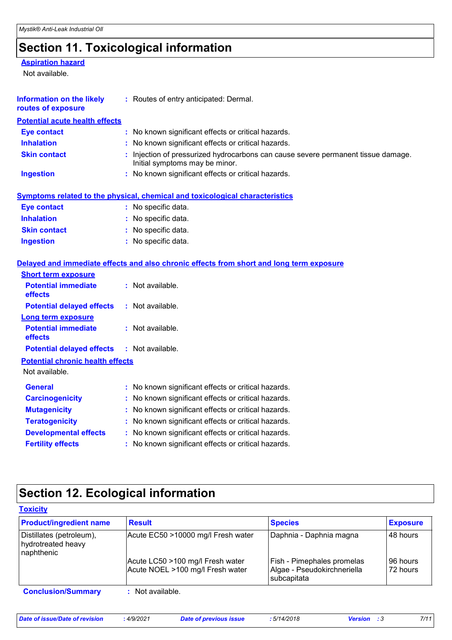# **Section 11. Toxicological information**

#### **Aspiration hazard**

Not available.

| <b>Information on the likely</b><br>routes of exposure | : Routes of entry anticipated: Dermal.                                                                              |
|--------------------------------------------------------|---------------------------------------------------------------------------------------------------------------------|
| <b>Potential acute health effects</b>                  |                                                                                                                     |
| <b>Eye contact</b>                                     | : No known significant effects or critical hazards.                                                                 |
| <b>Inhalation</b>                                      | : No known significant effects or critical hazards.                                                                 |
| <b>Skin contact</b>                                    | : Injection of pressurized hydrocarbons can cause severe permanent tissue damage.<br>Initial symptoms may be minor. |
| <b>Ingestion</b>                                       | : No known significant effects or critical hazards.                                                                 |
|                                                        | <b>Symptoms related to the physical, chemical and toxicological characteristics</b>                                 |
| <b>Eye contact</b>                                     | : No specific data.                                                                                                 |
| <b>Inhalation</b>                                      | : No specific data.                                                                                                 |
| <b>Skin contact</b>                                    | : No specific data.                                                                                                 |
| <b>Ingestion</b>                                       | : No specific data.                                                                                                 |
|                                                        | Delayed and immediate effects and also chronic effects from short and long term exposure                            |
| <b>Short term exposure</b>                             |                                                                                                                     |
| <b>Potential immediate</b><br>effects                  | : Not available.                                                                                                    |
| <b>Potential delayed effects</b>                       | : Not available.                                                                                                    |
| <b>Long term exposure</b>                              |                                                                                                                     |
| <b>Potential immediate</b><br>effects                  | : Not available.                                                                                                    |
| <b>Potential delayed effects</b>                       | : Not available.                                                                                                    |
| <b>Potential chronic health effects</b>                |                                                                                                                     |
| Not available.                                         |                                                                                                                     |
| <b>General</b>                                         | : No known significant effects or critical hazards.                                                                 |
| <b>Carcinogenicity</b>                                 | : No known significant effects or critical hazards.                                                                 |
| <b>Mutagenicity</b>                                    | : No known significant effects or critical hazards.                                                                 |
| <b>Teratogenicity</b>                                  | : No known significant effects or critical hazards.                                                                 |
| <b>Developmental effects</b>                           | : No known significant effects or critical hazards.                                                                 |
| <b>Fertility effects</b>                               | : No known significant effects or critical hazards.                                                                 |

# **Section 12. Ecological information**

| <b>Product/ingredient name</b>                               | <b>Result</b>                                                        | <b>Species</b>                                                           | <b>Exposure</b>      |  |
|--------------------------------------------------------------|----------------------------------------------------------------------|--------------------------------------------------------------------------|----------------------|--|
| Distillates (petroleum),<br>hydrotreated heavy<br>naphthenic | Acute EC50 >10000 mg/l Fresh water                                   | Daphnia - Daphnia magna                                                  | 48 hours             |  |
|                                                              | Acute LC50 >100 mg/l Fresh water<br>Acute NOEL >100 mg/l Fresh water | Fish - Pimephales promelas<br>Algae - Pseudokirchneriella<br>subcapitata | 96 hours<br>72 hours |  |
| <b>Conclusion/Summary</b>                                    | $:$ Not available.                                                   |                                                                          |                      |  |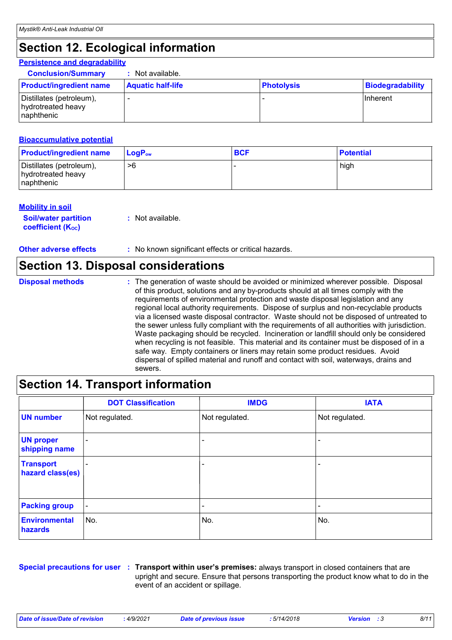# **Section 12. Ecological information**

#### **Persistence and degradability**

| <b>Conclusion/Summary</b>                                    | Not available.           |                   |                  |
|--------------------------------------------------------------|--------------------------|-------------------|------------------|
| <b>Product/ingredient name</b>                               | <b>Aquatic half-life</b> | <b>Photolysis</b> | Biodegradability |
| Distillates (petroleum),<br>hydrotreated heavy<br>naphthenic |                          |                   | <b>Ilnherent</b> |

#### **Bioaccumulative potential**

| <b>Product/ingredient name</b>                               | $\mathsf{LogP}_\mathsf{ow}$ | <b>BCF</b> | <b>Potential</b> |
|--------------------------------------------------------------|-----------------------------|------------|------------------|
| Distillates (petroleum),<br>hydrotreated heavy<br>naphthenic | >6                          |            | high             |

#### **Mobility in soil**

| <b>Soil/water partition</b> | : Not available. |
|-----------------------------|------------------|
| <b>coefficient (Koc)</b>    |                  |

#### **Other adverse effects** : No known significant effects or critical hazards.

### **Section 13. Disposal considerations**

| <b>Disposal methods</b> | : The generation of waste should be avoided or minimized wherever possible. Disposal<br>of this product, solutions and any by-products should at all times comply with the<br>requirements of environmental protection and waste disposal legislation and any<br>regional local authority requirements. Dispose of surplus and non-recyclable products<br>via a licensed waste disposal contractor. Waste should not be disposed of untreated to<br>the sewer unless fully compliant with the requirements of all authorities with jurisdiction.<br>Waste packaging should be recycled. Incineration or landfill should only be considered<br>when recycling is not feasible. This material and its container must be disposed of in a<br>safe way. Empty containers or liners may retain some product residues. Avoid<br>dispersal of spilled material and runoff and contact with soil, waterways, drains and |
|-------------------------|-----------------------------------------------------------------------------------------------------------------------------------------------------------------------------------------------------------------------------------------------------------------------------------------------------------------------------------------------------------------------------------------------------------------------------------------------------------------------------------------------------------------------------------------------------------------------------------------------------------------------------------------------------------------------------------------------------------------------------------------------------------------------------------------------------------------------------------------------------------------------------------------------------------------|
|                         | sewers.                                                                                                                                                                                                                                                                                                                                                                                                                                                                                                                                                                                                                                                                                                                                                                                                                                                                                                         |

# **Section 14. Transport information**

|                                      | <b>DOT Classification</b> | <b>IMDG</b>              | <b>IATA</b>     |
|--------------------------------------|---------------------------|--------------------------|-----------------|
| <b>UN number</b>                     | Not regulated.            | Not regulated.           | Not regulated.  |
| <b>UN proper</b><br>shipping name    | $\overline{\phantom{a}}$  | ۰                        |                 |
| <b>Transport</b><br>hazard class(es) | $\overline{\phantom{a}}$  | $\overline{\phantom{0}}$ | $\qquad \qquad$ |
| <b>Packing group</b>                 | $\blacksquare$            | $\overline{\phantom{0}}$ | $\qquad \qquad$ |
| <b>Environmental</b><br>hazards      | ∣No.                      | No.                      | No.             |

**Special precautions for user Transport within user's premises:** always transport in closed containers that are **:** upright and secure. Ensure that persons transporting the product know what to do in the event of an accident or spillage.

*Date of issue/Date of revision* **:** *4/9/2021 Date of previous issue : 5/14/2018 Version : 3 8/11*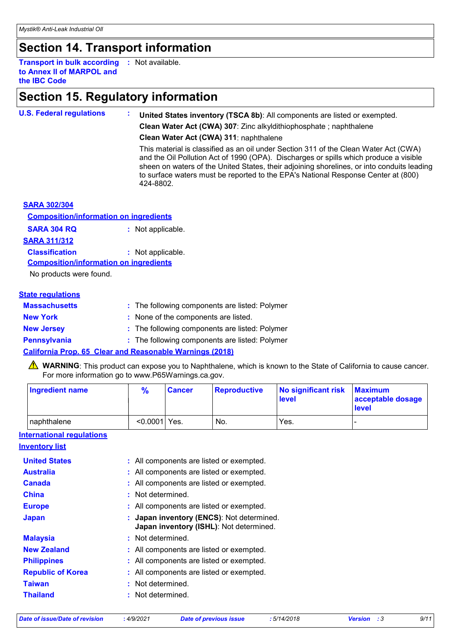# **Section 14. Transport information**

**Transport in bulk according :** Not available. **to Annex II of MARPOL and the IBC Code**

## **Section 15. Regulatory information**

| <b>U.S. Federal regulations</b> | United States inventory (TSCA 8b): All components are listed or exempted.                                                                                                                                                                                                                                                                                                     |
|---------------------------------|-------------------------------------------------------------------------------------------------------------------------------------------------------------------------------------------------------------------------------------------------------------------------------------------------------------------------------------------------------------------------------|
|                                 | Clean Water Act (CWA) 307: Zinc alkyldithiophosphate; naphthalene                                                                                                                                                                                                                                                                                                             |
|                                 | Clean Water Act (CWA) 311: naphthalene                                                                                                                                                                                                                                                                                                                                        |
|                                 | This material is classified as an oil under Section 311 of the Clean Water Act (CWA)<br>and the Oil Pollution Act of 1990 (OPA). Discharges or spills which produce a visible<br>sheen on waters of the United States, their adjoining shorelines, or into conduits leading<br>to surface waters must be reported to the EPA's National Response Center at (800)<br>424-8802. |
| <b>CADA COOLOGIE</b>            |                                                                                                                                                                                                                                                                                                                                                                               |

#### **SARA 302/304**

**SARA 304 RQ :** Not applicable. **Composition/information on ingredients**

**SARA 311/312**

**Classification :** Not applicable.

**Composition/information on ingredients**

No products were found.

#### **State regulations**

| <b>Massachusetts</b> | : The following components are listed: Polymer |
|----------------------|------------------------------------------------|
| <b>New York</b>      | : None of the components are listed.           |
| <b>New Jersey</b>    | : The following components are listed: Polymer |
| <b>Pennsylvania</b>  | : The following components are listed: Polymer |
|                      |                                                |

#### **California Prop. 65 Clear and Reasonable Warnings (2018)**

WARNING: This product can expose you to Naphthalene, which is known to the State of California to cause cancer. For more information go to www.P65Warnings.ca.gov.

| Ingredient name | $\frac{9}{6}$   | <b>Cancer</b> | <b>Reproductive</b> | No significant risk<br><b>level</b> | <b>Maximum</b><br>acceptable dosage<br><b>level</b> |
|-----------------|-----------------|---------------|---------------------|-------------------------------------|-----------------------------------------------------|
| naphthalene     | $< 0.0001$ Yes. |               | No.                 | Yes.                                |                                                     |

**International regulations**

| <b>Inventory list</b> |  |
|-----------------------|--|
|                       |  |
|                       |  |

| <b>United States</b>     | : All components are listed or exempted.                                             |
|--------------------------|--------------------------------------------------------------------------------------|
| <b>Australia</b>         | : All components are listed or exempted.                                             |
| <b>Canada</b>            | : All components are listed or exempted.                                             |
| <b>China</b>             | : Not determined.                                                                    |
| <b>Europe</b>            | : All components are listed or exempted.                                             |
| <b>Japan</b>             | : Japan inventory (ENCS): Not determined.<br>Japan inventory (ISHL): Not determined. |
| <b>Malaysia</b>          | : Not determined.                                                                    |
| <b>New Zealand</b>       | : All components are listed or exempted.                                             |
| <b>Philippines</b>       | : All components are listed or exempted.                                             |
| <b>Republic of Korea</b> | : All components are listed or exempted.                                             |
| <b>Taiwan</b>            | Not determined.                                                                      |
| <b>Thailand</b>          | : Not determined.                                                                    |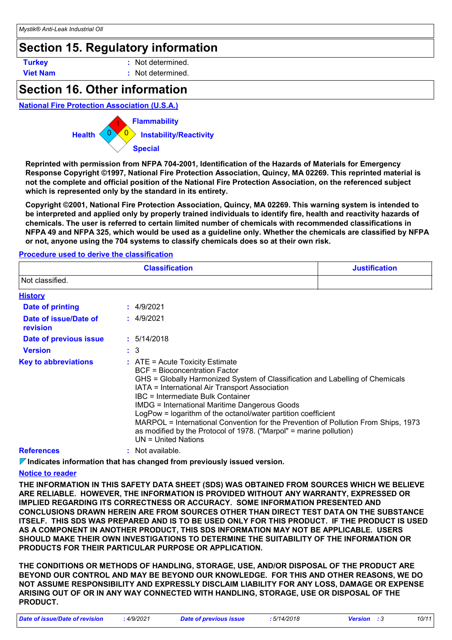### **Section 15. Regulatory information**

**Turkey :** Not determined.

**Viet Nam :** Not determined.

### **Section 16. Other information**

#### **National Fire Protection Association (U.S.A.)**



**Reprinted with permission from NFPA 704-2001, Identification of the Hazards of Materials for Emergency Response Copyright ©1997, National Fire Protection Association, Quincy, MA 02269. This reprinted material is not the complete and official position of the National Fire Protection Association, on the referenced subject which is represented only by the standard in its entirety.**

**Copyright ©2001, National Fire Protection Association, Quincy, MA 02269. This warning system is intended to be interpreted and applied only by properly trained individuals to identify fire, health and reactivity hazards of chemicals. The user is referred to certain limited number of chemicals with recommended classifications in NFPA 49 and NFPA 325, which would be used as a guideline only. Whether the chemicals are classified by NFPA or not, anyone using the 704 systems to classify chemicals does so at their own risk.**

#### **Procedure used to derive the classification**

|                                   | <b>Classification</b>                                                                                                                                                                                                                                                                                                                                                                                                                                                                                                                                  | <b>Justification</b> |
|-----------------------------------|--------------------------------------------------------------------------------------------------------------------------------------------------------------------------------------------------------------------------------------------------------------------------------------------------------------------------------------------------------------------------------------------------------------------------------------------------------------------------------------------------------------------------------------------------------|----------------------|
| l Not classified.                 |                                                                                                                                                                                                                                                                                                                                                                                                                                                                                                                                                        |                      |
| <b>History</b>                    |                                                                                                                                                                                                                                                                                                                                                                                                                                                                                                                                                        |                      |
| Date of printing                  | : 4/9/2021                                                                                                                                                                                                                                                                                                                                                                                                                                                                                                                                             |                      |
| Date of issue/Date of<br>revision | : 4/9/2021                                                                                                                                                                                                                                                                                                                                                                                                                                                                                                                                             |                      |
| Date of previous issue            | : 5/14/2018                                                                                                                                                                                                                                                                                                                                                                                                                                                                                                                                            |                      |
| <b>Version</b>                    | $\therefore$ 3                                                                                                                                                                                                                                                                                                                                                                                                                                                                                                                                         |                      |
| <b>Key to abbreviations</b>       | $:$ ATE = Acute Toxicity Estimate<br>BCF = Bioconcentration Factor<br>GHS = Globally Harmonized System of Classification and Labelling of Chemicals<br>IATA = International Air Transport Association<br>IBC = Intermediate Bulk Container<br><b>IMDG = International Maritime Dangerous Goods</b><br>LogPow = logarithm of the octanol/water partition coefficient<br>MARPOL = International Convention for the Prevention of Pollution From Ships, 1973<br>as modified by the Protocol of 1978. ("Marpol" = marine pollution)<br>UN = United Nations |                      |
| <b>References</b>                 | : Not available.                                                                                                                                                                                                                                                                                                                                                                                                                                                                                                                                       |                      |

**Indicates information that has changed from previously issued version.**

#### **Notice to reader**

**THE INFORMATION IN THIS SAFETY DATA SHEET (SDS) WAS OBTAINED FROM SOURCES WHICH WE BELIEVE ARE RELIABLE. HOWEVER, THE INFORMATION IS PROVIDED WITHOUT ANY WARRANTY, EXPRESSED OR IMPLIED REGARDING ITS CORRECTNESS OR ACCURACY. SOME INFORMATION PRESENTED AND CONCLUSIONS DRAWN HEREIN ARE FROM SOURCES OTHER THAN DIRECT TEST DATA ON THE SUBSTANCE ITSELF. THIS SDS WAS PREPARED AND IS TO BE USED ONLY FOR THIS PRODUCT. IF THE PRODUCT IS USED AS A COMPONENT IN ANOTHER PRODUCT, THIS SDS INFORMATION MAY NOT BE APPLICABLE. USERS SHOULD MAKE THEIR OWN INVESTIGATIONS TO DETERMINE THE SUITABILITY OF THE INFORMATION OR PRODUCTS FOR THEIR PARTICULAR PURPOSE OR APPLICATION.**

**THE CONDITIONS OR METHODS OF HANDLING, STORAGE, USE, AND/OR DISPOSAL OF THE PRODUCT ARE BEYOND OUR CONTROL AND MAY BE BEYOND OUR KNOWLEDGE. FOR THIS AND OTHER REASONS, WE DO NOT ASSUME RESPONSIBILITY AND EXPRESSLY DISCLAIM LIABILITY FOR ANY LOSS, DAMAGE OR EXPENSE ARISING OUT OF OR IN ANY WAY CONNECTED WITH HANDLING, STORAGE, USE OR DISPOSAL OF THE PRODUCT.**

*Date of issue/Date of revision* **:** *4/9/2021 Date of previous issue : 5/14/2018 Version : 3 10/11*